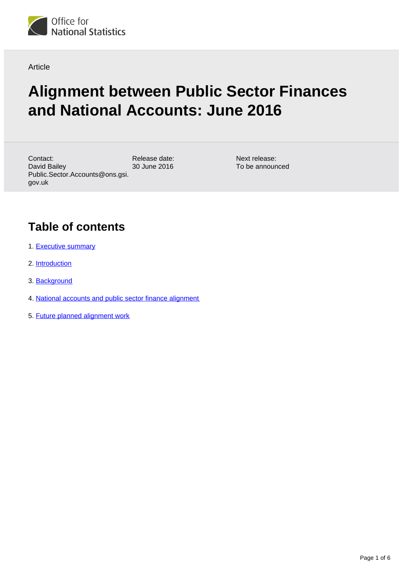

Article

# **Alignment between Public Sector Finances and National Accounts: June 2016**

Release date: 30 June 2016 Contact: David Bailey Public.Sector.Accounts@ons.gsi. gov.uk

Next release: To be announced

## **Table of contents**

- 1. [Executive summary](#page-1-0)
- 2. [Introduction](#page-1-1)
- 3. [Background](#page-1-2)
- 4. [National accounts and public sector finance alignment](#page-2-0)
- 5. [Future planned alignment work](#page-5-0)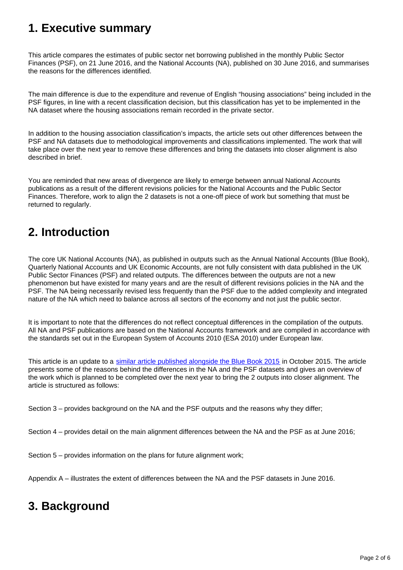## <span id="page-1-0"></span>**1. Executive summary**

This article compares the estimates of public sector net borrowing published in the monthly Public Sector Finances (PSF), on 21 June 2016, and the National Accounts (NA), published on 30 June 2016, and summarises the reasons for the differences identified.

The main difference is due to the expenditure and revenue of English "housing associations" being included in the PSF figures, in line with a recent classification decision, but this classification has yet to be implemented in the NA dataset where the housing associations remain recorded in the private sector.

In addition to the housing association classification's impacts, the article sets out other differences between the PSF and NA datasets due to methodological improvements and classifications implemented. The work that will take place over the next year to remove these differences and bring the datasets into closer alignment is also described in brief.

You are reminded that new areas of divergence are likely to emerge between annual National Accounts publications as a result of the different revisions policies for the National Accounts and the Public Sector Finances. Therefore, work to align the 2 datasets is not a one-off piece of work but something that must be returned to regularly.

## <span id="page-1-1"></span>**2. Introduction**

The core UK National Accounts (NA), as published in outputs such as the Annual National Accounts (Blue Book), Quarterly National Accounts and UK Economic Accounts, are not fully consistent with data published in the UK Public Sector Finances (PSF) and related outputs. The differences between the outputs are not a new phenomenon but have existed for many years and are the result of different revisions policies in the NA and the PSF. The NA being necessarily revised less frequently than the PSF due to the added complexity and integrated nature of the NA which need to balance across all sectors of the economy and not just the public sector.

It is important to note that the differences do not reflect conceptual differences in the compilation of the outputs. All NA and PSF publications are based on the National Accounts framework and are compiled in accordance with the standards set out in the European System of Accounts 2010 (ESA 2010) under European law.

This article is an update to a [similar article published alongside the Blue Book 2015](http://www.ons.gov.uk/ons/guide-method/method-quality/specific/economy/national-accounts/articles/2011-present/progress-of-aligning-public-sector-finances-to-national-accounts-between-2013-and-2015.pdf) in October 2015. The article presents some of the reasons behind the differences in the NA and the PSF datasets and gives an overview of the work which is planned to be completed over the next year to bring the 2 outputs into closer alignment. The article is structured as follows:

Section 3 – provides background on the NA and the PSF outputs and the reasons why they differ;

Section 4 – provides detail on the main alignment differences between the NA and the PSF as at June 2016;

Section 5 – provides information on the plans for future alignment work;

Appendix A – illustrates the extent of differences between the NA and the PSF datasets in June 2016.

## <span id="page-1-2"></span>**3. Background**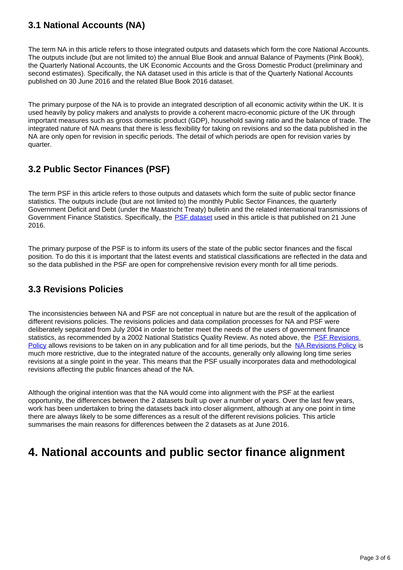### **3.1 National Accounts (NA)**

The term NA in this article refers to those integrated outputs and datasets which form the core National Accounts. The outputs include (but are not limited to) the annual Blue Book and annual Balance of Payments (Pink Book), the Quarterly National Accounts, the UK Economic Accounts and the Gross Domestic Product (preliminary and second estimates). Specifically, the NA dataset used in this article is that of the Quarterly National Accounts published on 30 June 2016 and the related Blue Book 2016 dataset.

The primary purpose of the NA is to provide an integrated description of all economic activity within the UK. It is used heavily by policy makers and analysts to provide a coherent macro-economic picture of the UK through important measures such as gross domestic product (GDP), household saving ratio and the balance of trade. The integrated nature of NA means that there is less flexibility for taking on revisions and so the data published in the NA are only open for revision in specific periods. The detail of which periods are open for revision varies by quarter.

### **3.2 Public Sector Finances (PSF)**

The term PSF in this article refers to those outputs and datasets which form the suite of public sector finance statistics. The outputs include (but are not limited to) the monthly Public Sector Finances, the quarterly Government Deficit and Debt (under the Maastricht Treaty) bulletin and the related international transmissions of Government Finance Statistics. Specifically, the **[PSF dataset](https://www.ons.gov.uk/economy/governmentpublicsectorandtaxes/publicsectorfinance/bulletins/publicsectorfinances/may16) used in this article is that published on 21 June** 2016.

The primary purpose of the PSF is to inform its users of the state of the public sector finances and the fiscal position. To do this it is important that the latest events and statistical classifications are reflected in the data and so the data published in the PSF are open for comprehensive revision every month for all time periods.

### **3.3 Revisions Policies**

The inconsistencies between NA and PSF are not conceptual in nature but are the result of the application of different revisions policies. The revisions policies and data compilation processes for NA and PSF were deliberately separated from July 2004 in order to better meet the needs of the users of government finance statistics, as recommended by a 2002 National Statistics Quality Review. As noted above, the PSF Revisions [Policy](https://www.ons.gov.uk/file?uri=/methodology/methodologytopicsandstatisticalconcepts/revisions/revisionspoliciesforeconomicstatistics/publicsectorfinancesrevisionspolicytcm77184697.pdf) allows revisions to be taken on in any publication and for all time periods, but the [NA Revisions Policy](https://www.ons.gov.uk/file?uri=/methodology/methodologytopicsandstatisticalconcepts/revisions/revisionspoliciesforeconomicstatistics/nationalaccountsrevisionspolicy2016jan16.pdf) is much more restrictive, due to the integrated nature of the accounts, generally only allowing long time series revisions at a single point in the year. This means that the PSF usually incorporates data and methodological revisions affecting the public finances ahead of the NA.

Although the original intention was that the NA would come into alignment with the PSF at the earliest opportunity, the differences between the 2 datasets built up over a number of years. Over the last few years, work has been undertaken to bring the datasets back into closer alignment, although at any one point in time there are always likely to be some differences as a result of the different revisions policies. This article summarises the main reasons for differences between the 2 datasets as at June 2016.

## <span id="page-2-0"></span>**4. National accounts and public sector finance alignment**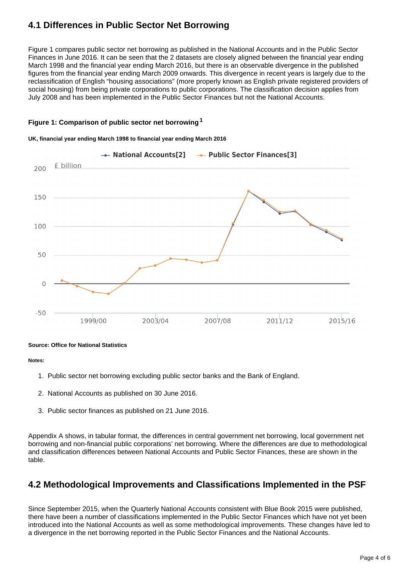### **4.1 Differences in Public Sector Net Borrowing**

Figure 1 compares public sector net borrowing as published in the National Accounts and in the Public Sector Finances in June 2016. It can be seen that the 2 datasets are closely aligned between the financial year ending March 1998 and the financial year ending March 2016, but there is an observable divergence in the published figures from the financial year ending March 2009 onwards. This divergence in recent years is largely due to the reclassification of English "housing associations" (more properly known as English private registered providers of social housing) from being private corporations to public corporations. The classification decision applies from July 2008 and has been implemented in the Public Sector Finances but not the National Accounts.

#### **Figure 1: Comparison of public sector net borrowing<sup>1</sup>**

#### **UK, financial year ending March 1998 to financial year ending March 2016**



#### **Source: Office for National Statistics**

#### **Notes:**

- 1. Public sector net borrowing excluding public sector banks and the Bank of England.
- 2. National Accounts as published on 30 June 2016.
- 3. Public sector finances as published on 21 June 2016.

Appendix A shows, in tabular format, the differences in central government net borrowing, local government net borrowing and non-financial public corporations' net borrowing. Where the differences are due to methodological and classification differences between National Accounts and Public Sector Finances, these are shown in the table.

### **4.2 Methodological Improvements and Classifications Implemented in the PSF**

Since September 2015, when the Quarterly National Accounts consistent with Blue Book 2015 were published, there have been a number of classifications implemented in the Public Sector Finances which have not yet been introduced into the National Accounts as well as some methodological improvements. These changes have led to a divergence in the net borrowing reported in the Public Sector Finances and the National Accounts.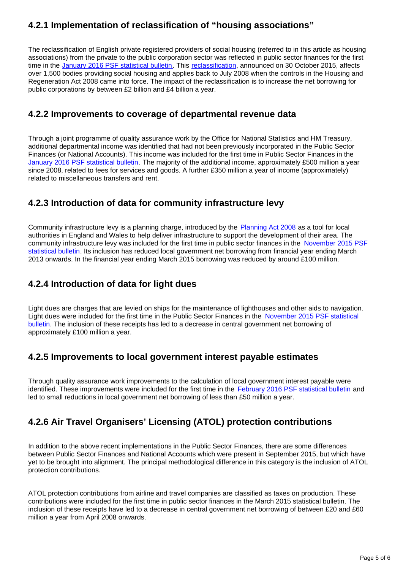### **4.2.1 Implementation of reclassification of "housing associations"**

The reclassification of English private registered providers of social housing (referred to in this article as housing associations) from the private to the public corporation sector was reflected in public sector finances for the first time in the [January 2016 PSF statistical bulletin](http://www.ons.gov.uk/economy/governmentpublicsectorandtaxes/publicsectorfinance/bulletins/publicsectorfinances/january2016). This [reclassification](http://www.ons.gov.uk/ons/rel/na-classification/national-accounts-sector-classification/classification-update---october-2015/index.html), announced on 30 October 2015, affects over 1,500 bodies providing social housing and applies back to July 2008 when the controls in the Housing and Regeneration Act 2008 came into force. The impact of the reclassification is to increase the net borrowing for public corporations by between £2 billion and £4 billion a year.

### **4.2.2 Improvements to coverage of departmental revenue data**

Through a joint programme of quality assurance work by the Office for National Statistics and HM Treasury, additional departmental income was identified that had not been previously incorporated in the Public Sector Finances (or National Accounts). This income was included for the first time in Public Sector Finances in the [January 2016 PSF statistical bulletin](http://www.ons.gov.uk/economy/governmentpublicsectorandtaxes/publicsectorfinance/bulletins/publicsectorfinances/january2016). The majority of the additional income, approximately £500 million a year since 2008, related to fees for services and goods. A further £350 million a year of income (approximately) related to miscellaneous transfers and rent.

### **4.2.3 Introduction of data for community infrastructure levy**

Community infrastructure levy is a planning charge, introduced by the [Planning Act 2008](http://www.legislation.gov.uk/ukpga/2008/29/contents) as a tool for local authorities in England and Wales to help deliver infrastructure to support the development of their area. The community infrastructure levy was included for the first time in public sector finances in the [November 2015 PSF](https://www.ons.gov.uk/economy/governmentpublicsectorandtaxes/publicsectorfinance/bulletins/publicsectorfinances/november2015)  [statistical bulletin](https://www.ons.gov.uk/economy/governmentpublicsectorandtaxes/publicsectorfinance/bulletins/publicsectorfinances/november2015). Its inclusion has reduced local government net borrowing from financial year ending March 2013 onwards. In the financial year ending March 2015 borrowing was reduced by around £100 million.

### **4.2.4 Introduction of data for light dues**

Light dues are charges that are levied on ships for the maintenance of lighthouses and other aids to navigation. Light dues were included for the first time in the Public Sector Finances in the November 2015 PSF statistical [bulletin.](https://www.ons.gov.uk/economy/governmentpublicsectorandtaxes/publicsectorfinance/bulletins/publicsectorfinances/november2015) The inclusion of these receipts has led to a decrease in central government net borrowing of approximately £100 million a year.

### **4.2.5 Improvements to local government interest payable estimates**

Through quality assurance work improvements to the calculation of local government interest payable were identified. These improvements were included for the first time in the [February 2016 PSF statistical bulletin](https://www.ons.gov.uk/economy/governmentpublicsectorandtaxes/publicsectorfinance/bulletins/publicsectorfinances/february2016) and led to small reductions in local government net borrowing of less than £50 million a year.

### **4.2.6 Air Travel Organisers' Licensing (ATOL) protection contributions**

In addition to the above recent implementations in the Public Sector Finances, there are some differences between Public Sector Finances and National Accounts which were present in September 2015, but which have yet to be brought into alignment. The principal methodological difference in this category is the inclusion of ATOL protection contributions.

ATOL protection contributions from airline and travel companies are classified as taxes on production. These contributions were included for the first time in public sector finances in the March 2015 statistical bulletin. The inclusion of these receipts have led to a decrease in central government net borrowing of between £20 and £60 million a year from April 2008 onwards.